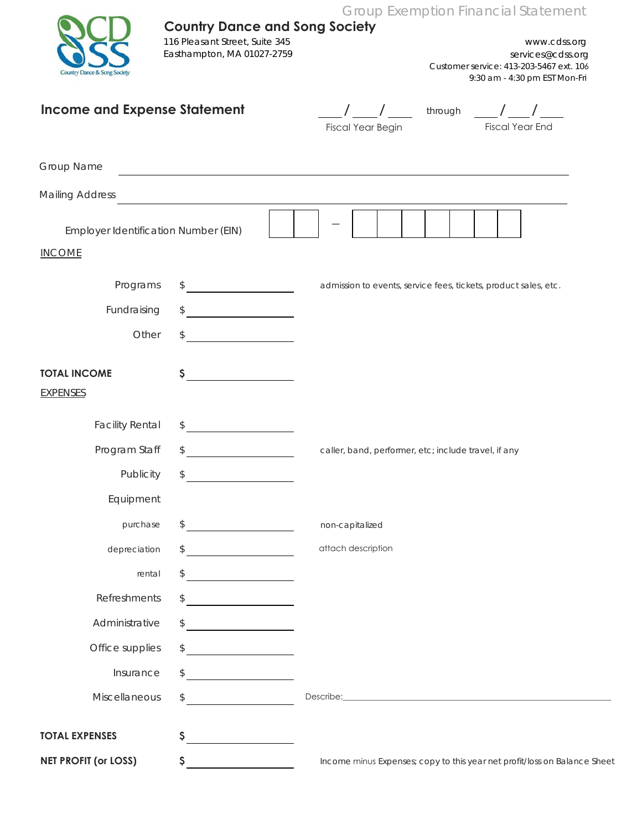Group Exemption Financial Statement

| Country Dance & Song Society |
|------------------------------|

## **Country Dance and Song Society**

116 Pleasant Street, Suite 345 Easthampton, MA 01027-2759

www.cdss.org services@cdss.org Customer service: 413-203-5467 ext. 106 9:30 am - 4:30 pm EST Mon-Fri

## **Income and Expense Statement** */* **/** */ i* through */* /

| Fiscal Year Begin |
|-------------------|

 through Fiscal Year End

| Group Name                           |                                                           |                                                                                                                                                                                                                                      |
|--------------------------------------|-----------------------------------------------------------|--------------------------------------------------------------------------------------------------------------------------------------------------------------------------------------------------------------------------------------|
| <b>Mailing Address</b>               |                                                           |                                                                                                                                                                                                                                      |
| Employer Identification Number (EIN) |                                                           |                                                                                                                                                                                                                                      |
| <b>INCOME</b>                        |                                                           |                                                                                                                                                                                                                                      |
| Programs                             | $\mathcal{L}$                                             | admission to events, service fees, tickets, product sales, etc.                                                                                                                                                                      |
| Fundraising                          | \$                                                        |                                                                                                                                                                                                                                      |
| Other                                | \$                                                        |                                                                                                                                                                                                                                      |
| <b>TOTAL INCOME</b>                  | \$                                                        |                                                                                                                                                                                                                                      |
| <b>EXPENSES</b>                      |                                                           |                                                                                                                                                                                                                                      |
| <b>Facility Rental</b>               | \$<br><u> 1990 - Johann Barbara, martin a</u>             |                                                                                                                                                                                                                                      |
| Program Staff                        | \$                                                        | caller, band, performer, etc; include travel, if any                                                                                                                                                                                 |
| Publicity                            | \$<br><u> 1990 - Johann Barbara, martin a</u>             |                                                                                                                                                                                                                                      |
| Equipment                            |                                                           |                                                                                                                                                                                                                                      |
| purchase                             | $\frac{1}{2}$                                             | non-capitalized                                                                                                                                                                                                                      |
| depreciation                         | \$                                                        | attach description                                                                                                                                                                                                                   |
| rental                               | \$<br><u> 1990 - Johann Barbara, martin a</u>             |                                                                                                                                                                                                                                      |
| Refreshments                         | \$                                                        |                                                                                                                                                                                                                                      |
| Administrative                       | \$                                                        |                                                                                                                                                                                                                                      |
| Office supplies                      | $\begin{array}{c} \updownarrow \\ \downarrow \end{array}$ |                                                                                                                                                                                                                                      |
| Insurance                            | \$                                                        |                                                                                                                                                                                                                                      |
| Miscellaneous                        | \$                                                        | Describe: <u>Contract of the Contract of the Contract of the Contract of the Contract of the Contract of the Contract of the Contract of the Contract of the Contract of the Contract of the Contract of the Contract of the Con</u> |
| <b>TOTAL EXPENSES</b>                | \$<br><u> 1980 - Jan Samuel Barbara, politik a po</u>     |                                                                                                                                                                                                                                      |
| <b>NET PROFIT (or LOSS)</b>          | \$                                                        | Income minus Expenses; copy to this year net profit/loss on Balance Sheet                                                                                                                                                            |